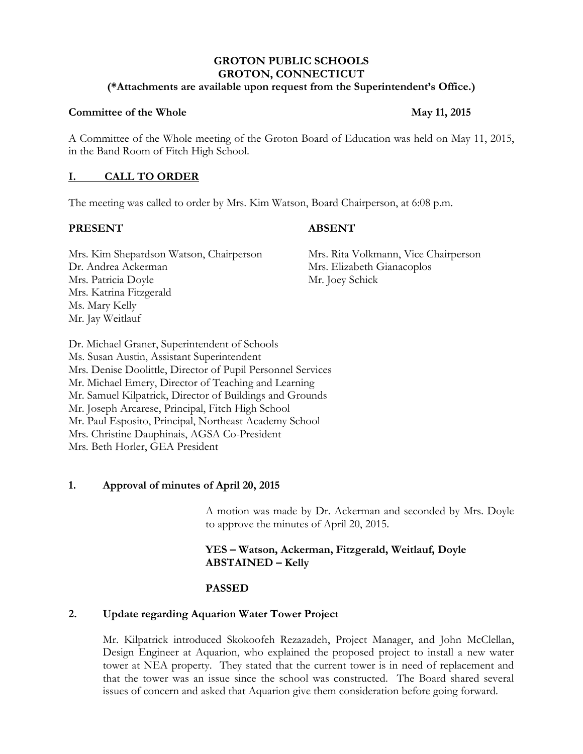# **GROTON PUBLIC SCHOOLS GROTON, CONNECTICUT**

#### **(\*Attachments are available upon request from the Superintendent's Office.)**

#### **Committee of the Whole May 11, 2015**

A Committee of the Whole meeting of the Groton Board of Education was held on May 11, 2015, in the Band Room of Fitch High School.

## **I. CALL TO ORDER**

The meeting was called to order by Mrs. Kim Watson, Board Chairperson, at 6:08 p.m.

## **PRESENT ABSENT**

Mrs. Kim Shepardson Watson, Chairperson Mrs. Rita Volkmann, Vice Chairperson Dr. Andrea Ackerman Mrs. Elizabeth Gianacoplos Mrs. Patricia Doyle Mr. Joey Schick Mrs. Katrina Fitzgerald Ms. Mary Kelly Mr. Jay Weitlauf

Dr. Michael Graner, Superintendent of Schools Ms. Susan Austin, Assistant Superintendent Mrs. Denise Doolittle, Director of Pupil Personnel Services Mr. Michael Emery, Director of Teaching and Learning Mr. Samuel Kilpatrick, Director of Buildings and Grounds Mr. Joseph Arcarese, Principal, Fitch High School Mr. Paul Esposito, Principal, Northeast Academy School Mrs. Christine Dauphinais, AGSA Co-President Mrs. Beth Horler, GEA President

# **1. Approval of minutes of April 20, 2015**

A motion was made by Dr. Ackerman and seconded by Mrs. Doyle to approve the minutes of April 20, 2015.

# **YES – Watson, Ackerman, Fitzgerald, Weitlauf, Doyle ABSTAINED – Kelly**

# **PASSED**

# **2. Update regarding Aquarion Water Tower Project**

Mr. Kilpatrick introduced Skokoofeh Rezazadeh, Project Manager, and John McClellan, Design Engineer at Aquarion, who explained the proposed project to install a new water tower at NEA property. They stated that the current tower is in need of replacement and that the tower was an issue since the school was constructed. The Board shared several issues of concern and asked that Aquarion give them consideration before going forward.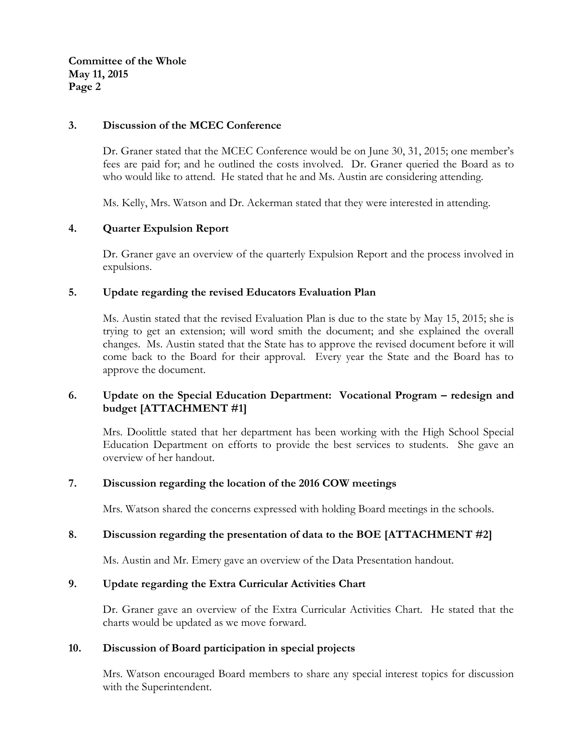**Committee of the Whole May 11, 2015 Page 2**

# **3. Discussion of the MCEC Conference**

Dr. Graner stated that the MCEC Conference would be on June 30, 31, 2015; one member's fees are paid for; and he outlined the costs involved. Dr. Graner queried the Board as to who would like to attend. He stated that he and Ms. Austin are considering attending.

Ms. Kelly, Mrs. Watson and Dr. Ackerman stated that they were interested in attending.

## **4. Quarter Expulsion Report**

Dr. Graner gave an overview of the quarterly Expulsion Report and the process involved in expulsions.

## **5. Update regarding the revised Educators Evaluation Plan**

Ms. Austin stated that the revised Evaluation Plan is due to the state by May 15, 2015; she is trying to get an extension; will word smith the document; and she explained the overall changes. Ms. Austin stated that the State has to approve the revised document before it will come back to the Board for their approval. Every year the State and the Board has to approve the document.

# **6. Update on the Special Education Department: Vocational Program – redesign and budget [ATTACHMENT #1]**

Mrs. Doolittle stated that her department has been working with the High School Special Education Department on efforts to provide the best services to students. She gave an overview of her handout.

#### **7. Discussion regarding the location of the 2016 COW meetings**

Mrs. Watson shared the concerns expressed with holding Board meetings in the schools.

#### **8. Discussion regarding the presentation of data to the BOE [ATTACHMENT #2]**

Ms. Austin and Mr. Emery gave an overview of the Data Presentation handout.

# **9. Update regarding the Extra Curricular Activities Chart**

Dr. Graner gave an overview of the Extra Curricular Activities Chart. He stated that the charts would be updated as we move forward.

#### **10. Discussion of Board participation in special projects**

Mrs. Watson encouraged Board members to share any special interest topics for discussion with the Superintendent.